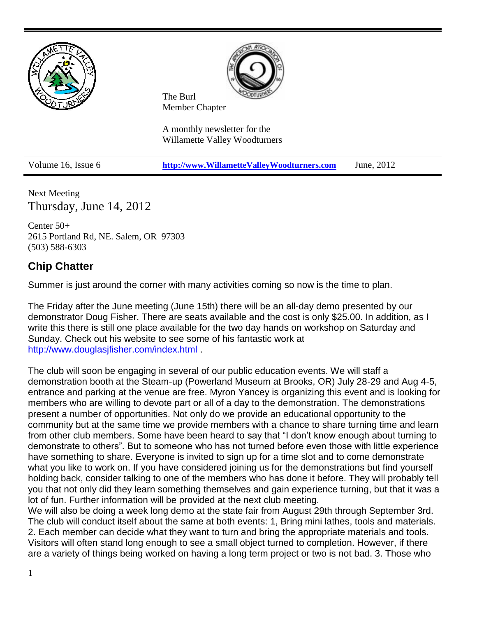

Next Meeting Thursday, June 14, 2012

Center 50+ 2615 Portland Rd, NE. Salem, OR 97303 (503) 588-6303

## **Chip Chatter**

Summer is just around the corner with many activities coming so now is the time to plan.

The Friday after the June meeting (June 15th) there will be an all-day demo presented by our demonstrator Doug Fisher. There are seats available and the cost is only \$25.00. In addition, as I write this there is still one place available for the two day hands on workshop on Saturday and Sunday. Check out his website to see some of his fantastic work at <http://www.douglasjfisher.com/index.html> .

The club will soon be engaging in several of our public education events. We will staff a demonstration booth at the Steam-up (Powerland Museum at Brooks, OR) July 28-29 and Aug 4-5, entrance and parking at the venue are free. Myron Yancey is organizing this event and is looking for members who are willing to devote part or all of a day to the demonstration. The demonstrations present a number of opportunities. Not only do we provide an educational opportunity to the community but at the same time we provide members with a chance to share turning time and learn from other club members. Some have been heard to say that "I don't know enough about turning to demonstrate to others". But to someone who has not turned before even those with little experience have something to share. Everyone is invited to sign up for a time slot and to come demonstrate what you like to work on. If you have considered joining us for the demonstrations but find yourself holding back, consider talking to one of the members who has done it before. They will probably tell you that not only did they learn something themselves and gain experience turning, but that it was a lot of fun. Further information will be provided at the next club meeting.

We will also be doing a week long demo at the state fair from August 29th through September 3rd. The club will conduct itself about the same at both events: 1, Bring mini lathes, tools and materials. 2. Each member can decide what they want to turn and bring the appropriate materials and tools. Visitors will often stand long enough to see a small object turned to completion. However, if there are a variety of things being worked on having a long term project or two is not bad. 3. Those who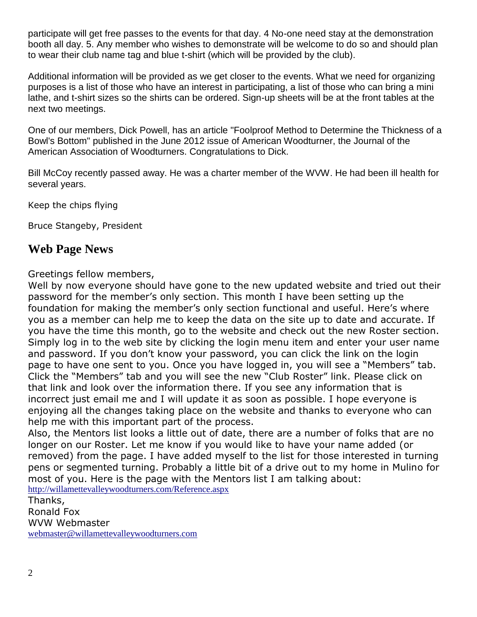participate will get free passes to the events for that day. 4 No-one need stay at the demonstration booth all day. 5. Any member who wishes to demonstrate will be welcome to do so and should plan to wear their club name tag and blue t-shirt (which will be provided by the club).

Additional information will be provided as we get closer to the events. What we need for organizing purposes is a list of those who have an interest in participating, a list of those who can bring a mini lathe, and t-shirt sizes so the shirts can be ordered. Sign-up sheets will be at the front tables at the next two meetings.

One of our members, Dick Powell, has an article "Foolproof Method to Determine the Thickness of a Bowl's Bottom" published in the June 2012 issue of American Woodturner, the Journal of the American Association of Woodturners. Congratulations to Dick.

Bill McCoy recently passed away. He was a charter member of the WVW. He had been ill health for several years.

Keep the chips flying

Bruce Stangeby, President

## **Web Page News**

Greetings fellow members,

Well by now everyone should have gone to the new updated website and tried out their password for the member's only section. This month I have been setting up the foundation for making the member's only section functional and useful. Here's where you as a member can help me to keep the data on the site up to date and accurate. If you have the time this month, go to the website and check out the new Roster section. Simply log in to the web site by clicking the login menu item and enter your user name and password. If you don't know your password, you can click the link on the login page to have one sent to you. Once you have logged in, you will see a "Members" tab. Click the "Members" tab and you will see the new "Club Roster" link. Please click on that link and look over the information there. If you see any information that is incorrect just email me and I will update it as soon as possible. I hope everyone is enjoying all the changes taking place on the website and thanks to everyone who can help me with this important part of the process.

Also, the Mentors list looks a little out of date, there are a number of folks that are no longer on our Roster. Let me know if you would like to have your name added (or removed) from the page. I have added myself to the list for those interested in turning pens or segmented turning. Probably a little bit of a drive out to my home in Mulino for most of you. Here is the page with the Mentors list I am talking about:

<http://willamettevalleywoodturners.com/Reference.aspx> Thanks, Ronald Fox WVW Webmaster [webmaster@willamettevalleywoodturners.com](mailto:webmaster@willamettevalleywoodturners.com)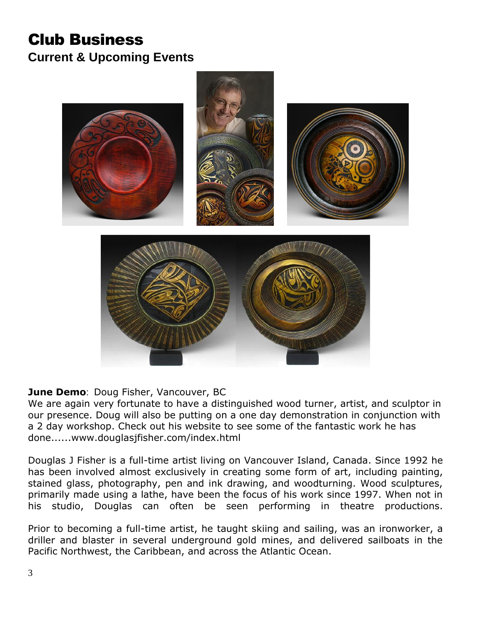# Club Business **Current & Upcoming Events**



### **June Demo**: Doug Fisher, Vancouver, BC

We are again very fortunate to have a distinguished wood turner, artist, and sculptor in our presence. Doug will also be putting on a one day demonstration in conjunction with a 2 day workshop. Check out his website to see some of the fantastic work he has done.....[.www.douglasjfisher.com/index.html](http://www.douglasjfisher.com/index.html)

Douglas J Fisher is a full-time artist living on Vancouver Island, Canada. Since 1992 he has been involved almost exclusively in creating some form of art, including painting, stained glass, photography, pen and ink drawing, and woodturning. Wood sculptures, primarily made using a lathe, have been the focus of his work since 1997. When not in his studio, Douglas can often be seen performing in theatre productions.

Prior to becoming a full-time artist, he taught skiing and sailing, was an ironworker, a driller and blaster in several underground gold mines, and delivered sailboats in the Pacific Northwest, the Caribbean, and across the Atlantic Ocean.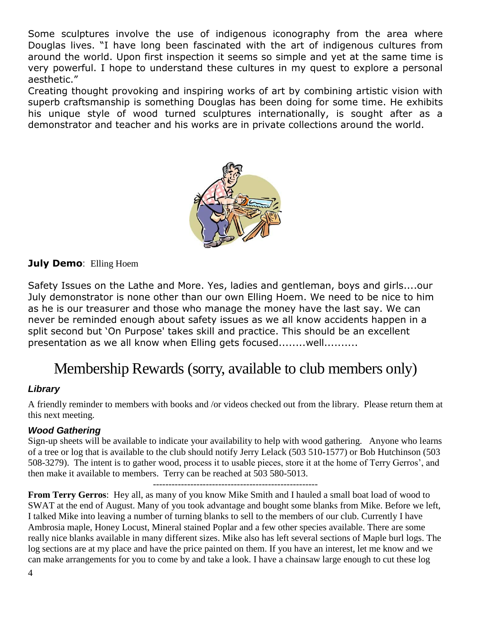Some sculptures involve the use of indigenous iconography from the area where Douglas lives. "I have long been fascinated with the art of indigenous cultures from around the world. Upon first inspection it seems so simple and yet at the same time is very powerful. I hope to understand these cultures in my quest to explore a personal aesthetic."

Creating thought provoking and inspiring works of art by combining artistic vision with superb craftsmanship is something Douglas has been doing for some time. He exhibits his unique style of wood turned sculptures internationally, is sought after as a demonstrator and teacher and his works are in private collections around the world.



### **July Demo**: Elling Hoem

Safety Issues on the Lathe and More. Yes, ladies and gentleman, boys and girls....our July demonstrator is none other than our own Elling Hoem. We need to be nice to him as he is our treasurer and those who manage the money have the last say. We can never be reminded enough about safety issues as we all know accidents happen in a split second but 'On Purpose' takes skill and practice. This should be an excellent presentation as we all know when Elling gets focused........well..........

# Membership Rewards (sorry, available to club members only)

#### *Library*

A friendly reminder to members with books and /or videos checked out from the library. Please return them at this next meeting.

#### *Wood Gathering*

Sign-up sheets will be available to indicate your availability to help with wood gathering. Anyone who learns of a tree or log that is available to the club should notify Jerry Lelack (503 510-1577) or Bob Hutchinson (503 508-3279). The intent is to gather wood, process it to usable pieces, store it at the home of Terry Gerros', and then make it available to members. Terry can be reached at 503 580-5013.

-----------------------------------------------------

**From Terry Gerros**: Hey all, as many of you know Mike Smith and I hauled a small boat load of wood to SWAT at the end of August. Many of you took advantage and bought some blanks from Mike. Before we left, I talked Mike into leaving a number of turning blanks to sell to the members of our club. Currently I have Ambrosia maple, Honey Locust, Mineral stained Poplar and a few other species available. There are some really nice blanks available in many different sizes. Mike also has left several sections of Maple burl logs. The log sections are at my place and have the price painted on them. If you have an interest, let me know and we can make arrangements for you to come by and take a look. I have a chainsaw large enough to cut these log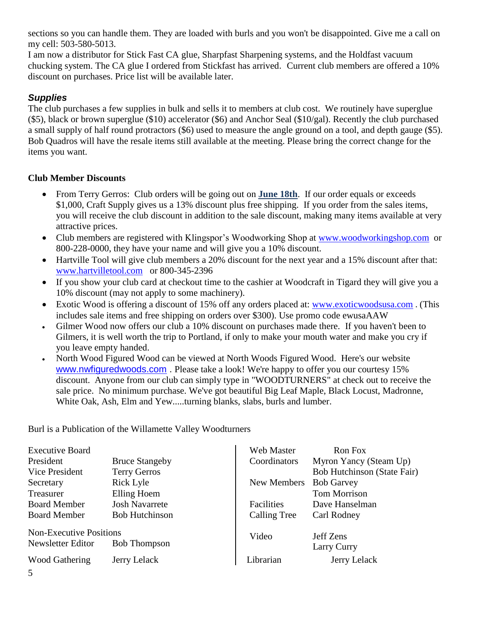sections so you can handle them. They are loaded with burls and you won't be disappointed. Give me a call on my cell: 503-580-5013.

I am now a distributor for Stick Fast CA glue, Sharpfast Sharpening systems, and the Holdfast vacuum chucking system. The CA glue I ordered from Stickfast has arrived. Current club members are offered a 10% discount on purchases. Price list will be available later.

### *Supplies*

The club purchases a few supplies in bulk and sells it to members at club cost. We routinely have superglue (\$5), black or brown superglue (\$10) accelerator (\$6) and Anchor Seal (\$10/gal). Recently the club purchased a small supply of half round protractors (\$6) used to measure the angle ground on a tool, and depth gauge (\$5). Bob Quadros will have the resale items still available at the meeting. Please bring the correct change for the items you want.

### **Club Member Discounts**

- From Terry Gerros: Club orders will be going out on **June 18th**. If our order equals or exceeds \$1,000, Craft Supply gives us a 13% discount plus free shipping. If you order from the sales items, you will receive the club discount in addition to the sale discount, making many items available at very attractive prices.
- Club members are registered with Klingspor's Woodworking Shop at [www.woodworkingshop.com](http://www.woodworkingshop.com/) or 800-228-0000, they have your name and will give you a 10% discount.
- Hartville Tool will give club members a 20% discount for the next year and a 15% discount after that: [www.hartvilletool.com](http://www.hartvilletool.com/) or 800-345-2396
- If you show your club card at checkout time to the cashier at Woodcraft in Tigard they will give you a 10% discount (may not apply to some machinery).
- Exotic Wood is offering a discount of 15% off any orders placed at: [www.exoticwoodsusa.com](http://www.exoticwoodsusa.com/). (This includes sale items and free shipping on orders over \$300). Use promo code ewusaAAW
- Gilmer Wood now offers our club a 10% discount on purchases made there. If you haven't been to Gilmers, it is well worth the trip to Portland, if only to make your mouth water and make you cry if you leave empty handed.
- North Wood Figured Wood can be viewed at North Woods Figured Wood. Here's our website [www.nwfiguredwoods.com](http://www.nwfiguredwoods.com/) . Please take a look! We're happy to offer you our courtesy 15% discount. Anyone from our club can simply type in "WOODTURNERS" at check out to receive the sale price. No minimum purchase. We've got beautiful Big Leaf Maple, Black Locust, Madronne, White Oak, Ash, Elm and Yew.....turning blanks, slabs, burls and lumber.

Burl is a Publication of the Willamette Valley Woodturners

| <b>Executive Board</b>         |                       | Web Master   | Ron Fox                            |
|--------------------------------|-----------------------|--------------|------------------------------------|
| President                      | <b>Bruce Stangeby</b> | Coordinators | Myron Yancy (Steam Up)             |
| Vice President                 | <b>Terry Gerros</b>   |              | <b>Bob Hutchinson (State Fair)</b> |
| Secretary                      | Rick Lyle             | New Members  | <b>Bob Garvey</b>                  |
| Treasurer                      | Elling Hoem           |              | <b>Tom Morrison</b>                |
| <b>Board Member</b>            | <b>Josh Navarrete</b> | Facilities   | Dave Hanselman                     |
| <b>Board Member</b>            | <b>Bob Hutchinson</b> | Calling Tree | Carl Rodney                        |
| <b>Non-Executive Positions</b> |                       | Video        | Jeff Zens                          |
| Newsletter Editor              | <b>Bob Thompson</b>   |              | Larry Curry                        |
| Wood Gathering                 | Jerry Lelack          | Librarian    | Jerry Lelack                       |